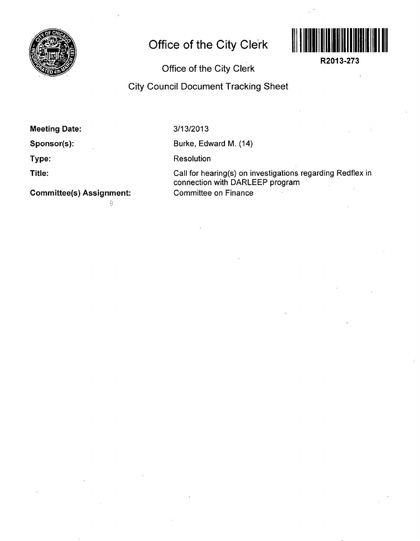

## **Office of the City Clerk**



**R2013-273** 

l,

## Office of the City Clerk

## City Council Document Tracking Sheet

| <b>Meeting Date:</b> |  |
|----------------------|--|
|----------------------|--|

**Sponsor(s):** 

**Type:** 

**Title:** 

**Committee(s) Assignment:** 

ŷ.

3/13/2013

Burke, Edward M. (14)

**Resolution** 

Call for hearing(s) on investigations regarding Redflex in connection with DARLEEP program Committee on Finance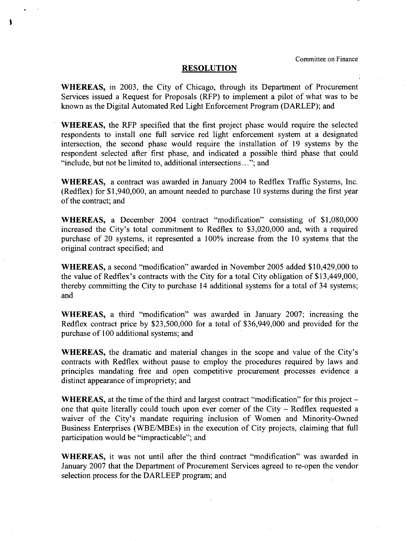## **RESOLUTION**

١

WHEREAS, in 2003, the City of Chicago, through its Department of Procurement Services issued a Request for Proposals (RFP) to implement a pilot of what was to be known as the Digital Automated Red Light Enforcement Program (DARLEP); and

WHEREAS, the RFP specified that the first project phase would require the selected respondents to install one full service red light enforcement system at a designated intersection, the second phase would require the installation of 19 systems by the respondent selected after first phase, and indicated a possible third phase that could "include, but not be limited to, additional intersections..."; and

WHEREAS, a contract was awarded in January 2004 to Redfiex Traffic Systems, Inc. (Redflex) for \$1,940,000, an amount needed to purchase 10 systems during the first year of the contract; and

WHEREAS, a December 2004 contract "modification" consisting of \$1,080,000 increased the City's total commitment to Redflex to \$3,020,000 and, with a required purchase of 20 systems, it represented a 100% increase from the 10 systems that the original contract specified; and

WHEREAS, a second "modification" awarded in November 2005 added \$10,429,000 to the value of Redflex's contracts with the City for a total City obligation of \$13,449,000, thereby commitfing the City to purchase 14 additional systems for a total of 34 systems; and

WHEREAS, a third "modification" was awarded in January 2007; increasing the Redflex contract price by \$23,500,000 for a total of \$36,949,000 and provided for the purchase of 100 additional systems; and

WHEREAS, the dramatic and material changes in the scope and value of the City's contracts with Redflex without pause to employ the procedures required by laws and principles mandating free and open competitive procurement processes evidence a distinct appearance of impropriety; and

**WHEREAS,** at the time of the third and largest contract "modification" for this project  $$ one that quite literally could touch upon ever comer of the City - Redflex requested a waiver of the City's mandate requiring inclusion of Women and Minority-Owned Business Enterprises (WBE/MBEs) in the execution of City projects, claiming that full participation would be "impracticable"; and

WHEREAS, it was not until after the third contract "modification" was awarded in January 2007 that the Department of Procurement Services agreed to re-open the vendor selection process for the DARLEEP program; and